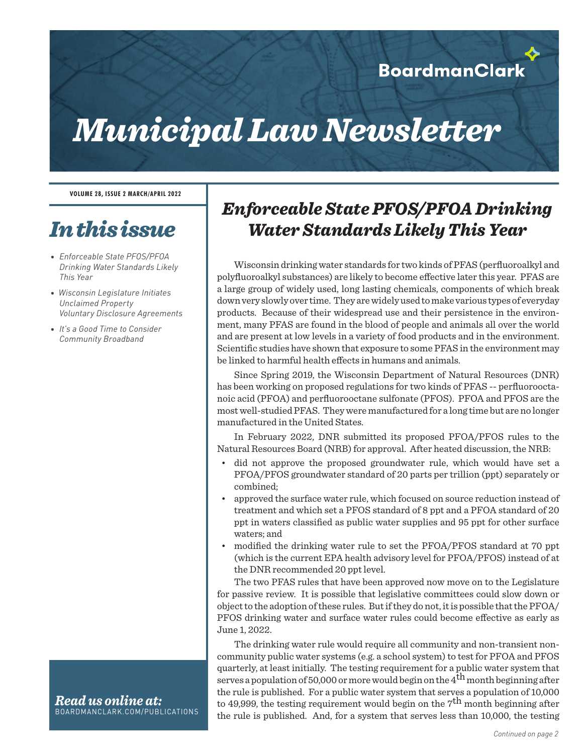### **BoardmanClark**

# *Municipal Law Newsletter*

#### **VOLUME 28, ISSUE 2 MARCH/APRIL 2022**

## *In this issue*

- *• Enforceable State PFOS/PFOA Drinking Water Standards Likely This Year*
- *Wisconsin Legislature Initiates Unclaimed Property Voluntary Disclosure Agreements*
- *• It's a Good Time to Consider Community Broadband*

#### *Read us online at:* BOARDMANCLARK.COM/PUBLICATIONS

### *Enforceable State PFOS/PFOA Drinking Water Standards Likely This Year*

Wisconsin drinking water standards for two kinds of PFAS (perfluoroalkyl and polyfluoroalkyl substances) are likely to become effective later this year. PFAS are a large group of widely used, long lasting chemicals, components of which break down very slowly over time. They are widely used to make various types of everyday products. Because of their widespread use and their persistence in the environment, many PFAS are found in the blood of people and animals all over the world and are present at low levels in a variety of food products and in the environment. Scientific studies have shown that exposure to some PFAS in the environment may be linked to harmful health effects in humans and animals.

Since Spring 2019, the Wisconsin Department of Natural Resources (DNR) has been working on proposed regulations for two kinds of PFAS -- perfluorooctanoic acid (PFOA) and perfluorooctane sulfonate (PFOS). PFOA and PFOS are the most well-studied PFAS. They were manufactured for a long time but are no longer manufactured in the United States.

In February 2022, DNR submitted its proposed PFOA/PFOS rules to the Natural Resources Board (NRB) for approval. After heated discussion, the NRB:

- did not approve the proposed groundwater rule, which would have set a PFOA/PFOS groundwater standard of 20 parts per trillion (ppt) separately or combined;
- approved the surface water rule, which focused on source reduction instead of treatment and which set a PFOS standard of 8 ppt and a PFOA standard of 20 ppt in waters classified as public water supplies and 95 ppt for other surface waters; and
- modified the drinking water rule to set the PFOA/PFOS standard at 70 ppt (which is the current EPA health advisory level for PFOA/PFOS) instead of at the DNR recommended 20 ppt level.

The two PFAS rules that have been approved now move on to the Legislature for passive review. It is possible that legislative committees could slow down or object to the adoption of these rules. But if they do not, it is possible that the PFOA/ PFOS drinking water and surface water rules could become effective as early as June 1, 2022.

The drinking water rule would require all community and non-transient noncommunity public water systems (e.g. a school system) to test for PFOA and PFOS quarterly, at least initially. The testing requirement for a public water system that serves a population of 50,000 or more would begin on the  $4^{\text{th}}$  month beginning after the rule is published. For a public water system that serves a population of 10,000 to 49,999, the testing requirement would begin on the  $7<sup>th</sup>$  month beginning after the rule is published. And, for a system that serves less than 10,000, the testing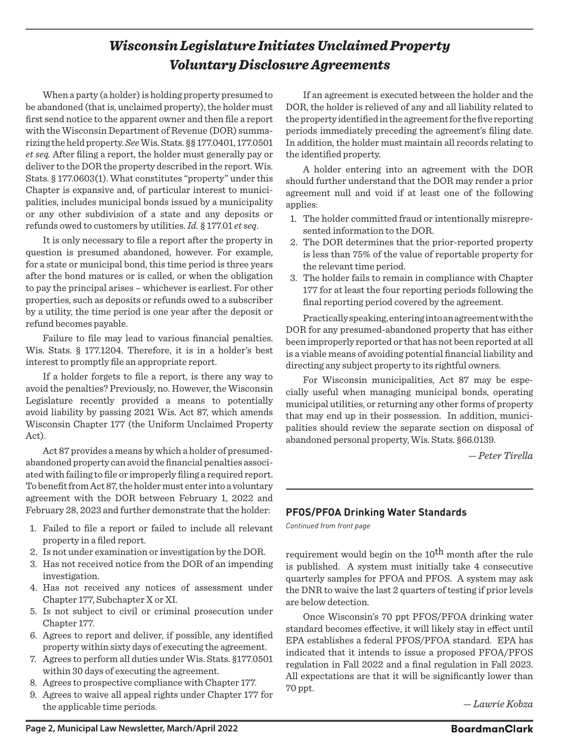### *Wisconsin Legislature Initiates Unclaimed Property Voluntary Disclosure Agreements*

When a party (a holder) is holding property presumed to be abandoned (that is, unclaimed property), the holder must first send notice to the apparent owner and then file a report with the Wisconsin Department of Revenue (DOR) summarizing the held property. *See*Wis. Stats. §§ 177.0401, 177.0501 *et seq.* After filing a report, the holder must generally pay or deliver to the DOR the property described in the report. Wis. Stats. § 177.0603(1). What constitutes "property" under this Chapter is expansive and, of particular interest to municipalities, includes municipal bonds issued by a municipality or any other subdivision of a state and any deposits or refunds owed to customers by utilities. *Id.* § 177.01 *et seq*.

It is only necessary to file a report after the property in question is presumed abandoned, however. For example, for a state or municipal bond, this time period is three years after the bond matures or is called, or when the obligation to pay the principal arises – whichever is earliest. For other properties, such as deposits or refunds owed to a subscriber by a utility, the time period is one year after the deposit or refund becomes payable.

Failure to file may lead to various financial penalties. Wis. Stats. § 177.1204. Therefore, it is in a holder's best interest to promptly file an appropriate report.

If a holder forgets to file a report, is there any way to avoid the penalties? Previously, no. However, the Wisconsin Legislature recently provided a means to potentially avoid liability by passing 2021 Wis. Act 87, which amends Wisconsin Chapter 177 (the Uniform Unclaimed Property Act).

Act 87 provides a means by which a holder of presumedabandoned property can avoid the financial penalties associated with failing to file or improperly filing a required report. To benefit from Act 87, the holder must enter into a voluntary agreement with the DOR between February 1, 2022 and February 28, 2023 and further demonstrate that the holder:

- 1. Failed to file a report or failed to include all relevant property in a filed report.
- 2. Is not under examination or investigation by the DOR.
- 3. Has not received notice from the DOR of an impending investigation.
- 4. Has not received any notices of assessment under Chapter 177, Subchapter X or XI.
- 5. Is not subject to civil or criminal prosecution under Chapter 177.
- 6. Agrees to report and deliver, if possible, any identified property within sixty days of executing the agreement.
- 7. Agrees to perform all duties under Wis. Stats. §177.0501 within 30 days of executing the agreement.
- 8. Agrees to prospective compliance with Chapter 177.
- 9. Agrees to waive all appeal rights under Chapter 177 for the applicable time periods.

If an agreement is executed between the holder and the DOR, the holder is relieved of any and all liability related to the property identified in the agreement for the five reporting periods immediately preceding the agreement's filing date. In addition, the holder must maintain all records relating to the identified property.

A holder entering into an agreement with the DOR should further understand that the DOR may render a prior agreement null and void if at least one of the following applies:

- 1. The holder committed fraud or intentionally misrepresented information to the DOR.
- 2. The DOR determines that the prior-reported property is less than 75% of the value of reportable property for the relevant time period.
- 3. The holder fails to remain in compliance with Chapter 177 for at least the four reporting periods following the final reporting period covered by the agreement.

Practically speaking, entering into an agreement with the DOR for any presumed-abandoned property that has either been improperly reported or that has not been reported at all is a viable means of avoiding potential financial liability and directing any subject property to its rightful owners.

For Wisconsin municipalities, Act 87 may be especially useful when managing municipal bonds, operating municipal utilities, or returning any other forms of property that may end up in their possession. In addition, municipalities should review the separate section on disposal of abandoned personal property, Wis. Stats. §66.0139.

*— Peter Tirella*

#### **PFOS/PFOA Drinking Water Standards**

*Continued from front page*

requirement would begin on the 10<sup>th</sup> month after the rule is published. A system must initially take 4 consecutive quarterly samples for PFOA and PFOS. A system may ask the DNR to waive the last 2 quarters of testing if prior levels are below detection.

Once Wisconsin's 70 ppt PFOS/PFOA drinking water standard becomes effective, it will likely stay in effect until EPA establishes a federal PFOS/PFOA standard. EPA has indicated that it intends to issue a proposed PFOA/PFOS regulation in Fall 2022 and a final regulation in Fall 2023. All expectations are that it will be significantly lower than 70 ppt.

*— Lawrie Kobza*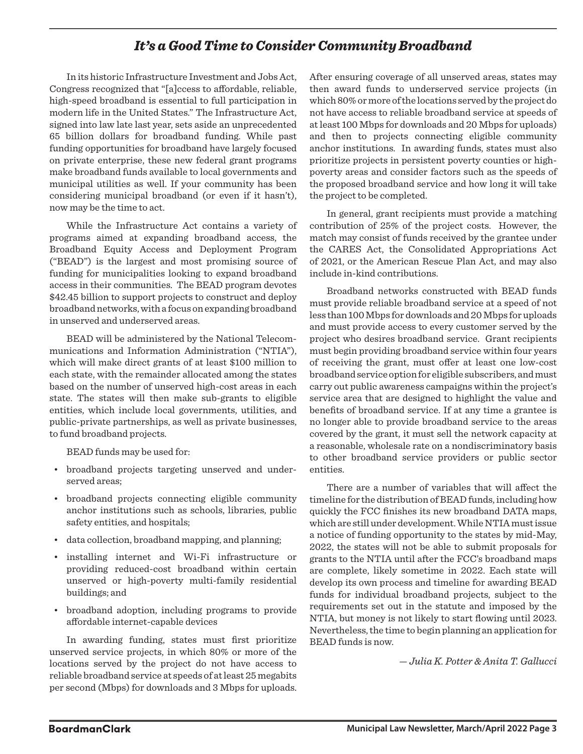#### *It's a Good Time to Consider Community Broadband*

In its historic Infrastructure Investment and Jobs Act, Congress recognized that "[a]ccess to affordable, reliable, high-speed broadband is essential to full participation in modern life in the United States." The Infrastructure Act, signed into law late last year, sets aside an unprecedented 65 billion dollars for broadband funding. While past funding opportunities for broadband have largely focused on private enterprise, these new federal grant programs make broadband funds available to local governments and municipal utilities as well. If your community has been considering municipal broadband (or even if it hasn't), now may be the time to act.

While the Infrastructure Act contains a variety of programs aimed at expanding broadband access, the Broadband Equity Access and Deployment Program ("BEAD") is the largest and most promising source of funding for municipalities looking to expand broadband access in their communities. The BEAD program devotes \$42.45 billion to support projects to construct and deploy broadband networks, with a focus on expanding broadband in unserved and underserved areas.

BEAD will be administered by the National Telecommunications and Information Administration ("NTIA"), which will make direct grants of at least \$100 million to each state, with the remainder allocated among the states based on the number of unserved high-cost areas in each state. The states will then make sub-grants to eligible entities, which include local governments, utilities, and public-private partnerships, as well as private businesses, to fund broadband projects.

BEAD funds may be used for:

- broadband projects targeting unserved and underserved areas;
- broadband projects connecting eligible community anchor institutions such as schools, libraries, public safety entities, and hospitals;
- data collection, broadband mapping, and planning;
- installing internet and Wi-Fi infrastructure or providing reduced-cost broadband within certain unserved or high-poverty multi-family residential buildings; and
- broadband adoption, including programs to provide affordable internet-capable devices

In awarding funding, states must first prioritize unserved service projects, in which 80% or more of the locations served by the project do not have access to reliable broadband service at speeds of at least 25 megabits per second (Mbps) for downloads and 3 Mbps for uploads. After ensuring coverage of all unserved areas, states may then award funds to underserved service projects (in which 80% or more of the locations served by the project do not have access to reliable broadband service at speeds of at least 100 Mbps for downloads and 20 Mbps for uploads) and then to projects connecting eligible community anchor institutions. In awarding funds, states must also prioritize projects in persistent poverty counties or highpoverty areas and consider factors such as the speeds of the proposed broadband service and how long it will take the project to be completed.

In general, grant recipients must provide a matching contribution of 25% of the project costs. However, the match may consist of funds received by the grantee under the CARES Act, the Consolidated Appropriations Act of 2021, or the American Rescue Plan Act, and may also include in-kind contributions.

Broadband networks constructed with BEAD funds must provide reliable broadband service at a speed of not less than 100 Mbps for downloads and 20 Mbps for uploads and must provide access to every customer served by the project who desires broadband service. Grant recipients must begin providing broadband service within four years of receiving the grant, must offer at least one low-cost broadband service option for eligible subscribers, and must carry out public awareness campaigns within the project's service area that are designed to highlight the value and benefits of broadband service. If at any time a grantee is no longer able to provide broadband service to the areas covered by the grant, it must sell the network capacity at a reasonable, wholesale rate on a nondiscriminatory basis to other broadband service providers or public sector entities.

There are a number of variables that will affect the timeline for the distribution of BEAD funds, including how quickly the FCC finishes its new broadband DATA maps, which are still under development. While NTIA must issue a notice of funding opportunity to the states by mid-May, 2022, the states will not be able to submit proposals for grants to the NTIA until after the FCC's broadband maps are complete, likely sometime in 2022. Each state will develop its own process and timeline for awarding BEAD funds for individual broadband projects, subject to the requirements set out in the statute and imposed by the NTIA, but money is not likely to start flowing until 2023. Nevertheless, the time to begin planning an application for BEAD funds is now.

*— Julia K. Potter & Anita T. Gallucci*